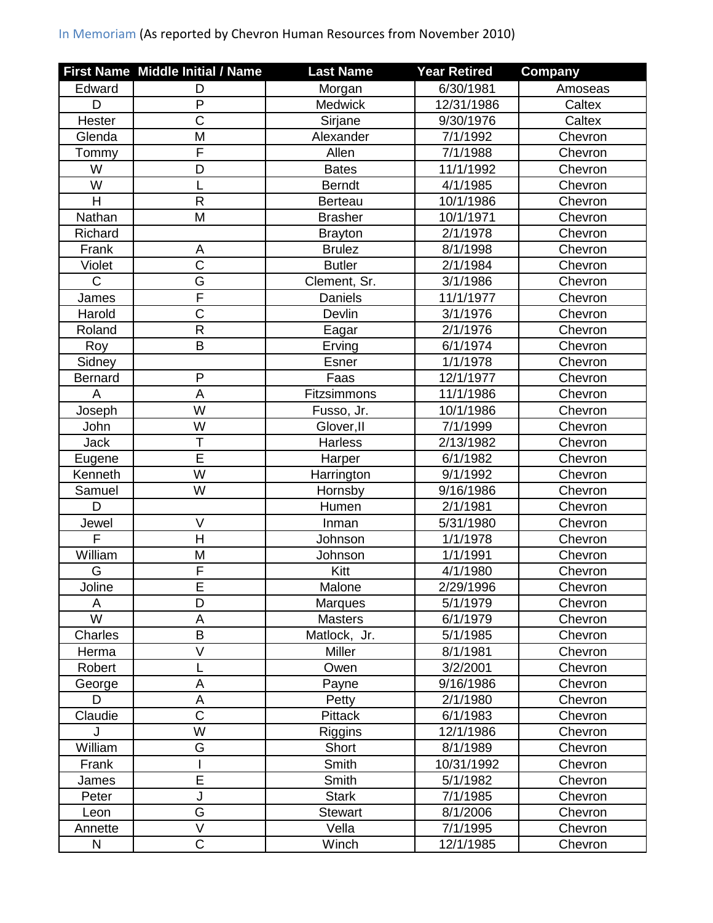## In Memoriam (As reported by Chevron Human Resources from November 2010)

|                         | First Name Middle Initial / Name | <b>Last Name</b> | <b>Year Retired</b> | Company |
|-------------------------|----------------------------------|------------------|---------------------|---------|
| Edward                  | D                                | Morgan           | 6/30/1981           | Amoseas |
| D                       | $\mathsf{P}$                     | <b>Medwick</b>   | 12/31/1986          | Caltex  |
| Hester                  | $\overline{C}$                   | Sirjane          | 9/30/1976           | Caltex  |
| Glenda                  | M                                | Alexander        | 7/1/1992            | Chevron |
| Tommy                   | F                                | Allen            | 7/1/1988            | Chevron |
| W                       | D                                | <b>Bates</b>     | 11/1/1992           | Chevron |
| W                       | L                                | <b>Berndt</b>    | 4/1/1985            | Chevron |
| H                       | R                                | <b>Berteau</b>   | 10/1/1986           | Chevron |
| Nathan                  | M                                | <b>Brasher</b>   | 10/1/1971           | Chevron |
| Richard                 |                                  | <b>Brayton</b>   | 2/1/1978            | Chevron |
| Frank                   | A                                | <b>Brulez</b>    | 8/1/1998            | Chevron |
| Violet                  | $\overline{\text{C}}$            | <b>Butler</b>    | 2/1/1984            | Chevron |
| $\mathsf{C}$            | G                                | Clement, Sr.     | 3/1/1986            | Chevron |
| James                   | $\overline{\mathsf{F}}$          | Daniels          | 11/1/1977           | Chevron |
| Harold                  | $\overline{\text{C}}$            | Devlin           | 3/1/1976            | Chevron |
| Roland                  | $\overline{R}$                   | Eagar            | 2/1/1976            | Chevron |
| Roy                     | B                                | Erving           | 6/1/1974            | Chevron |
| Sidney                  |                                  | <b>Esner</b>     | 1/1/1978            | Chevron |
| <b>Bernard</b>          | $\mathsf{P}$                     | Faas             | 12/1/1977           | Chevron |
| A                       | A                                | Fitzsimmons      | 11/1/1986           | Chevron |
| Joseph                  | W                                | Fusso, Jr.       | 10/1/1986           | Chevron |
| John                    | W                                | Glover, II       | 7/1/1999            | Chevron |
| <b>Jack</b>             | T                                | Harless          | 2/13/1982           | Chevron |
| Eugene                  | $\overline{\mathsf{E}}$          | Harper           | 6/1/1982            | Chevron |
| Kenneth                 | W                                | Harrington       | 9/1/1992            | Chevron |
| Samuel                  | W                                | Hornsby          | 9/16/1986           | Chevron |
| D                       |                                  | Humen            | 2/1/1981            | Chevron |
| Jewel                   | $\overline{\vee}$                | Inman            | 5/31/1980           | Chevron |
| $\overline{F}$          | H                                | Johnson          | 1/1/1978            | Chevron |
| William                 | M                                | Johnson          | 1/1/1991            | Chevron |
| G                       | F                                | Kitt             | 4/1/1980            | Chevron |
| Joline                  | $\overline{E}$                   | Malone           | 2/29/1996           | Chevron |
| A                       | D                                | <b>Marques</b>   | 5/1/1979            | Chevron |
| $\overline{\mathsf{W}}$ | A                                | <b>Masters</b>   | 6/1/1979            | Chevron |
| Charles                 | B                                | Matlock, Jr.     | 5/1/1985            | Chevron |
| Herma                   | V                                | Miller           | 8/1/1981            | Chevron |
| Robert                  | L                                | Owen             | 3/2/2001            | Chevron |
| George                  | A                                | Payne            | 9/16/1986           | Chevron |
| D                       | A                                | Petty            | 2/1/1980            | Chevron |
| Claudie                 | $\mathsf C$                      | Pittack          | 6/1/1983            | Chevron |
| . J                     | W                                | Riggins          | 12/1/1986           | Chevron |
| William                 | G                                | Short            | 8/1/1989            | Chevron |
| Frank                   |                                  | Smith            | 10/31/1992          | Chevron |
| James                   | $\overline{E}$                   | Smith            | 5/1/1982            | Chevron |
| Peter                   | J                                | <b>Stark</b>     | 7/1/1985            | Chevron |
| Leon                    | G                                | <b>Stewart</b>   | 8/1/2006            | Chevron |
| Annette                 | V                                | Vella            | 7/1/1995            | Chevron |
| N                       | $\mathsf C$                      | Winch            | 12/1/1985           | Chevron |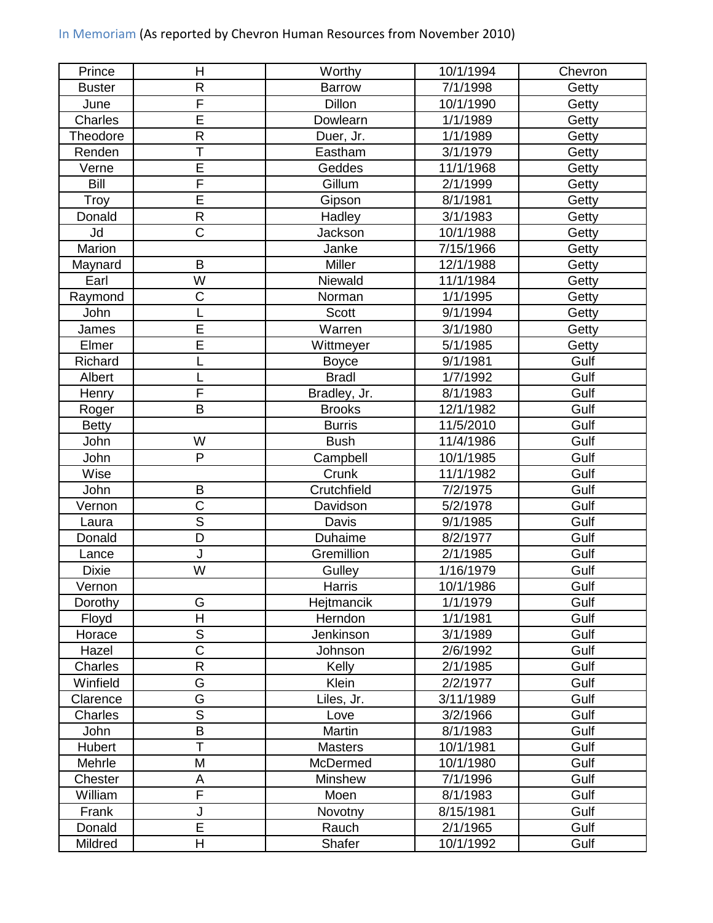|  |  |  |  | In Memoriam (As reported by Chevron Human Resources from November 2010) |
|--|--|--|--|-------------------------------------------------------------------------|
|--|--|--|--|-------------------------------------------------------------------------|

| Prince         | Н                       | Worthy         | 10/1/1994 | Chevron |
|----------------|-------------------------|----------------|-----------|---------|
| <b>Buster</b>  | R                       | Barrow         | 7/1/1998  | Getty   |
| June           | F                       | Dillon         | 10/1/1990 | Getty   |
| <b>Charles</b> | $\overline{\mathsf{E}}$ | Dowlearn       | 1/1/1989  | Getty   |
| Theodore       | R                       | Duer, Jr.      | 1/1/1989  | Getty   |
| Renden         | T                       | Eastham        | 3/1/1979  | Getty   |
| Verne          | $\overline{\mathsf{E}}$ | Geddes         | 11/1/1968 | Getty   |
| Bill           | F                       | Gillum         | 2/1/1999  | Getty   |
| Troy           | Ē                       | Gipson         | 8/1/1981  | Getty   |
| Donald         | R                       | Hadley         | 3/1/1983  | Getty   |
| Jd             | $\overline{\text{C}}$   | Jackson        | 10/1/1988 | Getty   |
| Marion         |                         | Janke          | 7/15/1966 | Getty   |
| Maynard        | B                       | Miller         | 12/1/1988 | Getty   |
| Earl           | W                       | Niewald        | 11/1/1984 | Getty   |
| Raymond        | C                       | Norman         | 1/1/1995  | Getty   |
| John           |                         | <b>Scott</b>   | 9/1/1994  | Getty   |
| James          | $\overline{E}$          | Warren         | 3/1/1980  | Getty   |
| Elmer          | Ē                       | Wittmeyer      | 5/1/1985  | Getty   |
| Richard        |                         | <b>Boyce</b>   | 9/1/1981  | Gulf    |
| Albert         | L                       | <b>Bradl</b>   | 1/7/1992  | Gulf    |
| Henry          | $\overline{\mathsf{F}}$ | Bradley, Jr.   | 8/1/1983  | Gulf    |
| Roger          | B                       | <b>Brooks</b>  | 12/1/1982 | Gulf    |
| <b>Betty</b>   |                         | <b>Burris</b>  | 11/5/2010 | Gulf    |
| John           | W                       | <b>Bush</b>    | 11/4/1986 | Gulf    |
| John           | P                       | Campbell       | 10/1/1985 | Gulf    |
| Wise           |                         | Crunk          | 11/1/1982 | Gulf    |
| John           | B                       | Crutchfield    | 7/2/1975  | Gulf    |
| Vernon         | C                       | Davidson       | 5/2/1978  | Gulf    |
| Laura          | $\overline{\mathsf{s}}$ | Davis          | 9/1/1985  | Gulf    |
| Donald         | $\overline{\mathsf{D}}$ | <b>Duhaime</b> | 8/2/1977  | Gulf    |
| Lance          | J                       | Gremillion     | 2/1/1985  | Gulf    |
| <b>Dixie</b>   | W                       | Gulley         | 1/16/1979 | Gulf    |
| Vernon         |                         | Harris         | 10/1/1986 | Gulf    |
| Dorothy        | G                       | Hejtmancik     | 1/1/1979  | Gulf    |
| Floyd          | $\overline{\mathsf{H}}$ | Herndon        | 1/1/1981  | Gulf    |
| Horace         | $\overline{S}$          | Jenkinson      | 3/1/1989  | Gulf    |
| Hazel          | $\overline{\text{C}}$   | Johnson        | 2/6/1992  | Gulf    |
| Charles        | R                       | Kelly          | 2/1/1985  | Gulf    |
| Winfield       | G                       | Klein          | 2/2/1977  | Gulf    |
| Clarence       | G                       | Liles, Jr.     | 3/11/1989 | Gulf    |
| Charles        | $\overline{\mathsf{s}}$ | Love           | 3/2/1966  | Gulf    |
| John           | B                       | Martin         | 8/1/1983  | Gulf    |
| Hubert         | T                       | <b>Masters</b> | 10/1/1981 | Gulf    |
| Mehrle         | M                       | McDermed       | 10/1/1980 | Gulf    |
| Chester        | A                       | <b>Minshew</b> | 7/1/1996  | Gulf    |
| William        | F                       | Moen           | 8/1/1983  | Gulf    |
| Frank          | J                       | Novotny        | 8/15/1981 | Gulf    |
| Donald         | $\overline{\mathsf{E}}$ | Rauch          | 2/1/1965  | Gulf    |
| Mildred        | H                       | Shafer         | 10/1/1992 | Gulf    |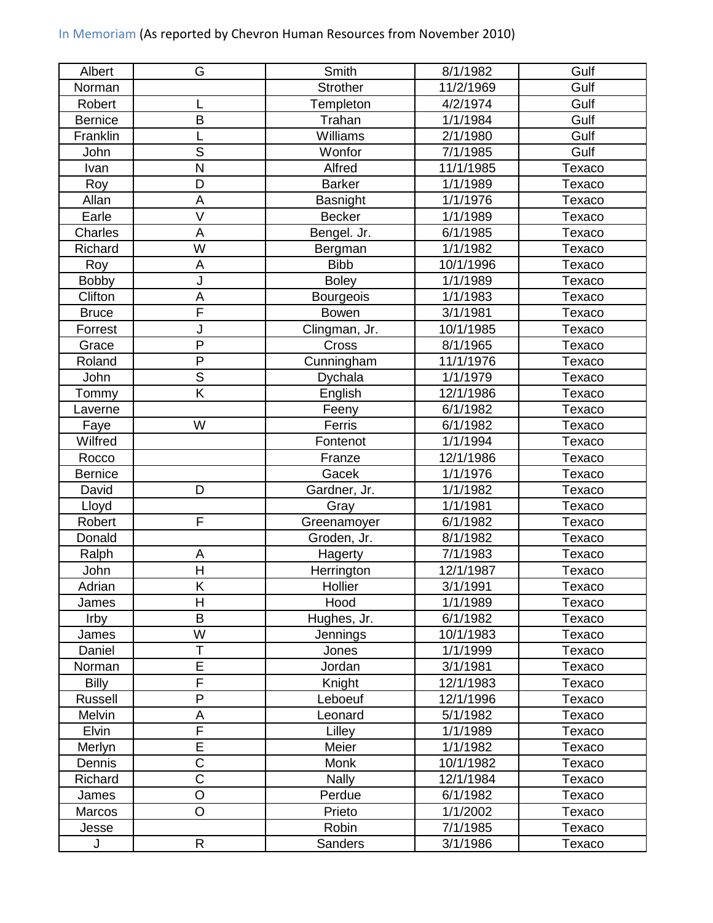## In Memoriam (As reported by Chevron Human Resources from November 2010)

| Albert         | G                       | Smith            | 8/1/1982              | Gulf   |
|----------------|-------------------------|------------------|-----------------------|--------|
| Norman         |                         | <b>Strother</b>  | 11/2/1969             | Gulf   |
| Robert         |                         | Templeton        | 4/2/1974              | Gulf   |
| <b>Bernice</b> | B                       | Trahan           | 1/1/1984              | Gulf   |
| Franklin       | L                       | Williams         | 2/1/1980              | Gulf   |
| John           | $\overline{S}$          | Wonfor           | 7/1/1985              | Gulf   |
| Ivan           | N                       | Alfred           | 11/1/1985             | Texaco |
| Roy            | D                       | <b>Barker</b>    | 1/1/1989              | Texaco |
| Allan          | A                       | Basnight         | $\frac{1}{1}$ /1/1976 | Texaco |
| Earle          | V                       | <b>Becker</b>    | 1/1/1989              | Texaco |
| Charles        | A                       | Bengel. Jr.      | 6/1/1985              | Texaco |
| Richard        | W                       | Bergman          | 1/1/1982              | Texaco |
| Roy            | A                       | <b>Bibb</b>      | 10/1/1996             | Texaco |
| <b>Bobby</b>   | J                       | <b>Boley</b>     | 1/1/1989              | Texaco |
| Clifton        | A                       | <b>Bourgeois</b> | 1/1/1983              | Texaco |
| <b>Bruce</b>   | F                       | <b>Bowen</b>     | 3/1/1981              | Texaco |
| Forrest        | J                       | Clingman, Jr.    | 10/1/1985             | Texaco |
| Grace          | $\overline{P}$          | Cross            | 8/1/1965              | Texaco |
| Roland         | $\overline{P}$          | Cunningham       | 11/1/1976             | Texaco |
| John           | $\mathsf S$             | Dychala          | 1/1/1979              | Texaco |
| Tommy          | K                       | English          | 12/1/1986             | Texaco |
| Laverne        |                         | Feeny            | 6/1/1982              | Texaco |
| Faye           | W                       | Ferris           | 6/1/1982              | Texaco |
| Wilfred        |                         | Fontenot         | 1/1/1994              | Texaco |
| Rocco          |                         | Franze           | 12/1/1986             | Texaco |
| <b>Bernice</b> |                         | Gacek            | 1/1/1976              | Texaco |
| David          | D                       | Gardner, Jr.     | 1/1/1982              | Texaco |
| Lloyd          |                         | Gray             | 1/1/1981              | Texaco |
| Robert         | F                       | Greenamoyer      | 6/1/1982              | Texaco |
| Donald         |                         | Groden, Jr.      | 8/1/1982              | Texaco |
| Ralph          | А                       | <b>Hagerty</b>   | 7/1/1983              | Texaco |
| John           | H                       | Herrington       | 12/1/1987             | Texaco |
| Adrian         | $\overline{\mathsf{K}}$ | Hollier          | 3/1/1991              | Texaco |
| James          | Н                       | Hood             | 1/1/1989              | Texaco |
| Irby           | B                       | Hughes, Jr.      | 6/1/1982              | Texaco |
| James          | W                       | Jennings         | 10/1/1983             | Texaco |
| Daniel         | $\overline{\mathsf{T}}$ | Jones            | 1/1/1999              | Texaco |
| Norman         | E                       | Jordan           | 3/1/1981              | Texaco |
| <b>Billy</b>   | F                       | Knight           | 12/1/1983             | Texaco |
| Russell        | P                       | Leboeuf          | 12/1/1996             | Texaco |
| <b>Melvin</b>  | А                       | Leonard          | 5/1/1982              | Texaco |
| Elvin          | $\overline{\mathsf{F}}$ | Lilley           | 1/1/1989              | Texaco |
| Merlyn         | $\overline{E}$          | Meier            | 1/1/1982              | Texaco |
| Dennis         | $\overline{\text{C}}$   | <b>Monk</b>      | 10/1/1982             | Texaco |
| Richard        | $\overline{\text{C}}$   | <b>Nally</b>     | 12/1/1984             | Texaco |
| James          | $\overline{O}$          | Perdue           | 6/1/1982              | Texaco |
| Marcos         | $\circ$                 | Prieto           | 1/1/2002              | Texaco |
| Jesse          |                         | Robin            | 7/1/1985              | Texaco |
| J              | R                       | Sanders          | 3/1/1986              | Texaco |